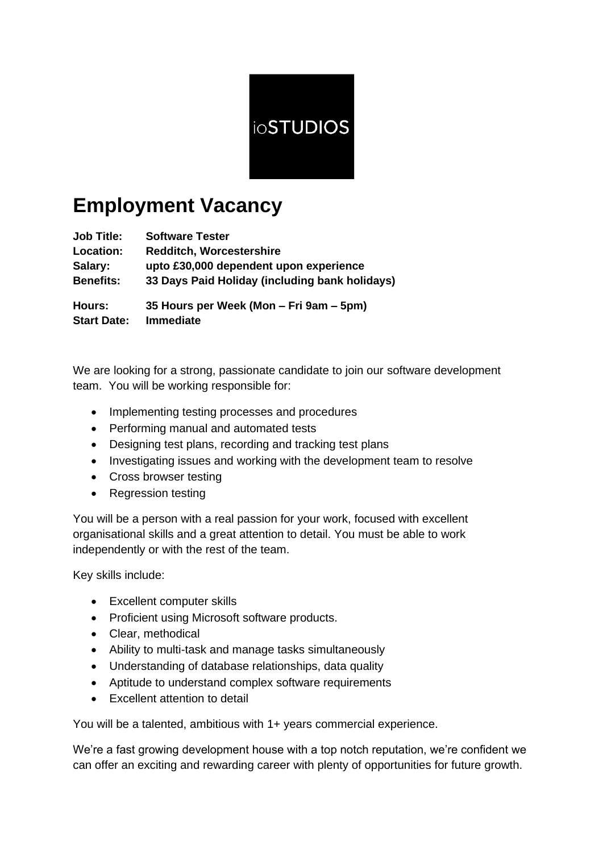

# **Employment Vacancy**

| <b>Job Title:</b>  | <b>Software Tester</b>                         |
|--------------------|------------------------------------------------|
| <b>Location:</b>   | <b>Redditch, Worcestershire</b>                |
| Salary:            | upto £30,000 dependent upon experience         |
| <b>Benefits:</b>   | 33 Days Paid Holiday (including bank holidays) |
| Hours:             | 35 Hours per Week (Mon – Fri 9am – 5pm)        |
| <b>Start Date:</b> | <b>Immediate</b>                               |

We are looking for a strong, passionate candidate to join our software development team. You will be working responsible for:

- Implementing testing processes and procedures
- Performing manual and automated tests
- Designing test plans, recording and tracking test plans
- Investigating issues and working with the development team to resolve
- Cross browser testing
- Regression testing

You will be a person with a real passion for your work, focused with excellent organisational skills and a great attention to detail. You must be able to work independently or with the rest of the team.

Key skills include:

- Excellent computer skills
- Proficient using Microsoft software products.
- Clear, methodical
- Ability to multi-task and manage tasks simultaneously
- Understanding of database relationships, data quality
- Aptitude to understand complex software requirements
- Excellent attention to detail

You will be a talented, ambitious with 1+ years commercial experience.

We're a fast growing development house with a top notch reputation, we're confident we can offer an exciting and rewarding career with plenty of opportunities for future growth.